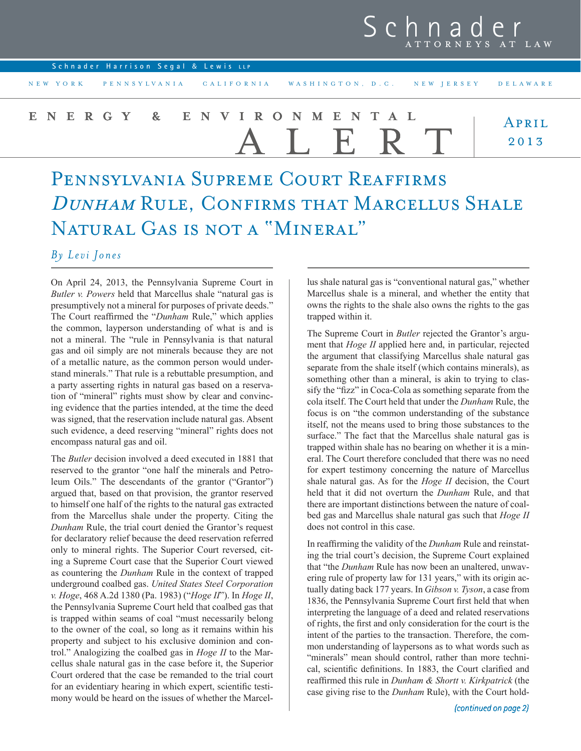| Schnader |  |                  |  |  |  |
|----------|--|------------------|--|--|--|
|          |  | ATTORNEYS AT LAW |  |  |  |

| Schnader Harrison Segal & Lewis LLP                          |               |
|--------------------------------------------------------------|---------------|
| NEW YORK PENNSYLVANIA CALIFORNIA WASHINGTON, D.C. NEW JERSEY | DELAWARE      |
| ENERGY & ENVIRONMENTAL<br>ALERT                              | APRIL<br>2013 |

## Pennsylvania Supreme Court Reaffirms DUNHAM RULE, CONFIRMS THAT MARCELLUS SHALE NATURAL GAS IS NOT A "MINERAL"

## *By Levi Jones*

On April 24, 2013, the Pennsylvania Supreme Court in *Butler v. Powers* held that Marcellus shale "natural gas is presumptively not a mineral for purposes of private deeds." The Court reaffirmed the "*Dunham* Rule," which applies the common, layperson understanding of what is and is not a mineral. The "rule in Pennsylvania is that natural gas and oil simply are not minerals because they are not of a metallic nature, as the common person would understand minerals." That rule is a rebuttable presumption, and a party asserting rights in natural gas based on a reservation of "mineral" rights must show by clear and convincing evidence that the parties intended, at the time the deed was signed, that the reservation include natural gas. Absent such evidence, a deed reserving "mineral" rights does not encompass natural gas and oil.

The *Butler* decision involved a deed executed in 1881 that reserved to the grantor "one half the minerals and Petroleum Oils." The descendants of the grantor ("Grantor") argued that, based on that provision, the grantor reserved to himself one half of the rights to the natural gas extracted from the Marcellus shale under the property. Citing the *Dunham* Rule, the trial court denied the Grantor's request for declaratory relief because the deed reservation referred only to mineral rights. The Superior Court reversed, citing a Supreme Court case that the Superior Court viewed as countering the *Dunham* Rule in the context of trapped underground coalbed gas. *United States Steel Corporation v. Hoge*, 468 A.2d 1380 (Pa. 1983) ("*Hoge II*"). In *Hoge II*, the Pennsylvania Supreme Court held that coalbed gas that is trapped within seams of coal "must necessarily belong to the owner of the coal, so long as it remains within his property and subject to his exclusive dominion and control." Analogizing the coalbed gas in *Hoge II* to the Marcellus shale natural gas in the case before it, the Superior Court ordered that the case be remanded to the trial court for an evidentiary hearing in which expert, scientific testimony would be heard on the issues of whether the Marcellus shale natural gas is "conventional natural gas," whether Marcellus shale is a mineral, and whether the entity that owns the rights to the shale also owns the rights to the gas trapped within it.

The Supreme Court in *Butler* rejected the Grantor's argument that *Hoge II* applied here and, in particular, rejected the argument that classifying Marcellus shale natural gas separate from the shale itself (which contains minerals), as something other than a mineral, is akin to trying to classify the "fizz" in Coca-Cola as something separate from the cola itself. The Court held that under the *Dunham* Rule, the focus is on "the common understanding of the substance itself, not the means used to bring those substances to the surface." The fact that the Marcellus shale natural gas is trapped within shale has no bearing on whether it is a mineral. The Court therefore concluded that there was no need for expert testimony concerning the nature of Marcellus shale natural gas. As for the *Hoge II* decision, the Court held that it did not overturn the *Dunham* Rule, and that there are important distinctions between the nature of coalbed gas and Marcellus shale natural gas such that *Hoge II* does not control in this case.

In reaffirming the validity of the *Dunham* Rule and reinstating the trial court's decision, the Supreme Court explained that "the *Dunham* Rule has now been an unaltered, unwavering rule of property law for 131 years," with its origin actually dating back 177 years. In *Gibson v. Tyson*, a case from 1836, the Pennsylvania Supreme Court first held that when interpreting the language of a deed and related reservations of rights, the first and only consideration for the court is the intent of the parties to the transaction. Therefore, the common understanding of laypersons as to what words such as "minerals" mean should control, rather than more technical, scientific definitions. In 1883, the Court clarified and reaffirmed this rule in *Dunham & Shortt v. Kirkpatrick* (the case giving rise to the *Dunham* Rule), with the Court hold-